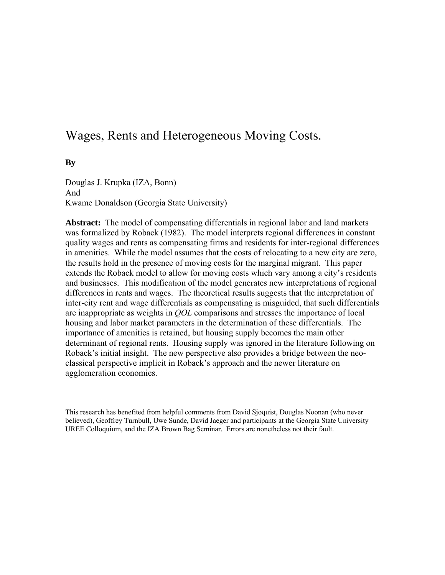# Wages, Rents and Heterogeneous Moving Costs.

# **By**

Douglas J. Krupka (IZA, Bonn) And Kwame Donaldson (Georgia State University)

**Abstract:** The model of compensating differentials in regional labor and land markets was formalized by Roback (1982). The model interprets regional differences in constant quality wages and rents as compensating firms and residents for inter-regional differences in amenities. While the model assumes that the costs of relocating to a new city are zero, the results hold in the presence of moving costs for the marginal migrant. This paper extends the Roback model to allow for moving costs which vary among a city's residents and businesses. This modification of the model generates new interpretations of regional differences in rents and wages. The theoretical results suggests that the interpretation of inter-city rent and wage differentials as compensating is misguided, that such differentials are inappropriate as weights in *QOL* comparisons and stresses the importance of local housing and labor market parameters in the determination of these differentials. The importance of amenities is retained, but housing supply becomes the main other determinant of regional rents. Housing supply was ignored in the literature following on Roback's initial insight. The new perspective also provides a bridge between the neoclassical perspective implicit in Roback's approach and the newer literature on agglomeration economies.

This research has benefited from helpful comments from David Sjoquist, Douglas Noonan (who never believed), Geoffrey Turnbull, Uwe Sunde, David Jaeger and participants at the Georgia State University UREE Colloquium, and the IZA Brown Bag Seminar. Errors are nonetheless not their fault.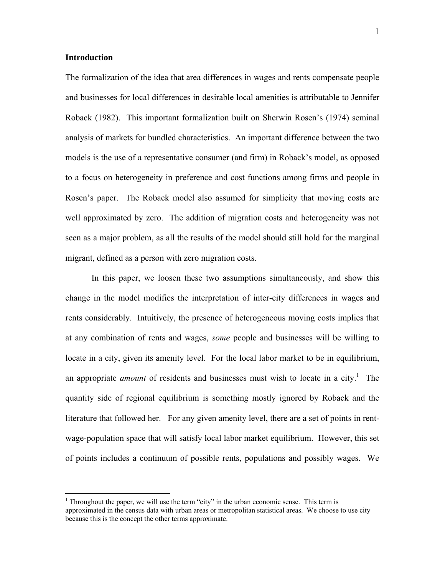## **Introduction**

 $\overline{a}$ 

The formalization of the idea that area differences in wages and rents compensate people and businesses for local differences in desirable local amenities is attributable to Jennifer Roback (1982). This important formalization built on Sherwin Rosen's (1974) seminal analysis of markets for bundled characteristics. An important difference between the two models is the use of a representative consumer (and firm) in Roback's model, as opposed to a focus on heterogeneity in preference and cost functions among firms and people in Rosen's paper. The Roback model also assumed for simplicity that moving costs are well approximated by zero. The addition of migration costs and heterogeneity was not seen as a major problem, as all the results of the model should still hold for the marginal migrant, defined as a person with zero migration costs.

 In this paper, we loosen these two assumptions simultaneously, and show this change in the model modifies the interpretation of inter-city differences in wages and rents considerably. Intuitively, the presence of heterogeneous moving costs implies that at any combination of rents and wages, *some* people and businesses will be willing to locate in a city, given its amenity level. For the local labor market to be in equilibrium, an appropriate *amount* of residents and businesses must wish to locate in a city.<sup>[1](#page-1-0)</sup> The quantity side of regional equilibrium is something mostly ignored by Roback and the literature that followed her. For any given amenity level, there are a set of points in rentwage-population space that will satisfy local labor market equilibrium. However, this set of points includes a continuum of possible rents, populations and possibly wages. We

<span id="page-1-0"></span><sup>&</sup>lt;sup>1</sup> Throughout the paper, we will use the term "city" in the urban economic sense. This term is approximated in the census data with urban areas or metropolitan statistical areas. We choose to use city because this is the concept the other terms approximate.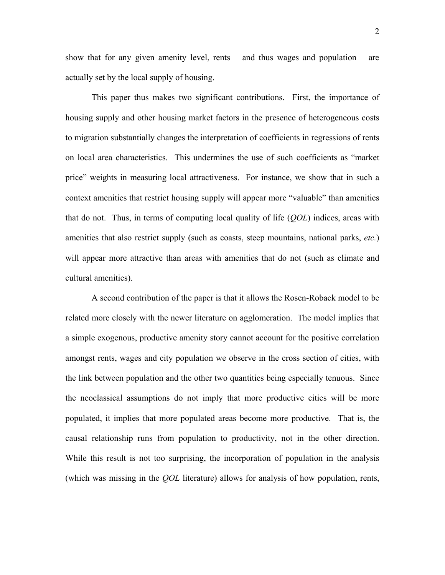show that for any given amenity level, rents – and thus wages and population – are actually set by the local supply of housing.

 This paper thus makes two significant contributions. First, the importance of housing supply and other housing market factors in the presence of heterogeneous costs to migration substantially changes the interpretation of coefficients in regressions of rents on local area characteristics. This undermines the use of such coefficients as "market price" weights in measuring local attractiveness. For instance, we show that in such a context amenities that restrict housing supply will appear more "valuable" than amenities that do not. Thus, in terms of computing local quality of life (*QOL*) indices, areas with amenities that also restrict supply (such as coasts, steep mountains, national parks, *etc.*) will appear more attractive than areas with amenities that do not (such as climate and cultural amenities).

 A second contribution of the paper is that it allows the Rosen-Roback model to be related more closely with the newer literature on agglomeration. The model implies that a simple exogenous, productive amenity story cannot account for the positive correlation amongst rents, wages and city population we observe in the cross section of cities, with the link between population and the other two quantities being especially tenuous. Since the neoclassical assumptions do not imply that more productive cities will be more populated, it implies that more populated areas become more productive. That is, the causal relationship runs from population to productivity, not in the other direction. While this result is not too surprising, the incorporation of population in the analysis (which was missing in the *QOL* literature) allows for analysis of how population, rents,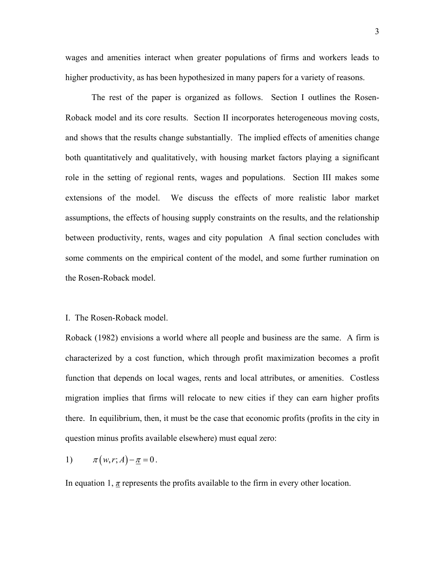3

wages and amenities interact when greater populations of firms and workers leads to higher productivity, as has been hypothesized in many papers for a variety of reasons.

The rest of the paper is organized as follows. Section I outlines the Rosen-Roback model and its core results. Section II incorporates heterogeneous moving costs, and shows that the results change substantially. The implied effects of amenities change both quantitatively and qualitatively, with housing market factors playing a significant role in the setting of regional rents, wages and populations. Section III makes some extensions of the model. We discuss the effects of more realistic labor market assumptions, the effects of housing supply constraints on the results, and the relationship between productivity, rents, wages and city population A final section concludes with some comments on the empirical content of the model, and some further rumination on the Rosen-Roback model.

#### I. The Rosen-Roback model.

Roback (1982) envisions a world where all people and business are the same. A firm is characterized by a cost function, which through profit maximization becomes a profit function that depends on local wages, rents and local attributes, or amenities. Costless migration implies that firms will relocate to new cities if they can earn higher profits there. In equilibrium, then, it must be the case that economic profits (profits in the city in question minus profits available elsewhere) must equal zero:

1) 
$$
\pi(w,r;A)-\underline{\pi}=0.
$$

In equation 1,  $\pi$  represents the profits available to the firm in every other location.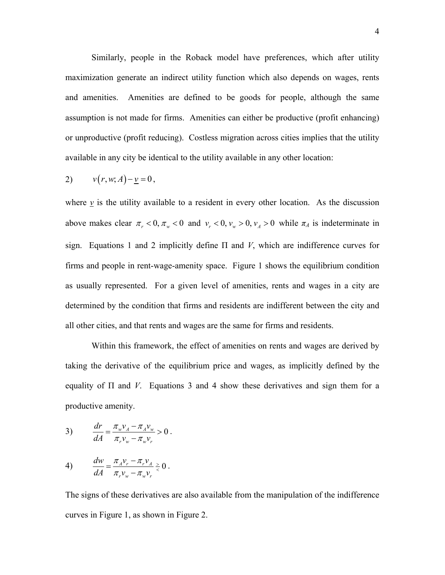Similarly, people in the Roback model have preferences, which after utility maximization generate an indirect utility function which also depends on wages, rents and amenities. Amenities are defined to be goods for people, although the same assumption is not made for firms. Amenities can either be productive (profit enhancing) or unproductive (profit reducing). Costless migration across cities implies that the utility available in any city be identical to the utility available in any other location:

$$
2) \qquad v(r, w; A) - \underline{v} = 0,
$$

where  $\nu$  is the utility available to a resident in every other location. As the discussion above makes clear  $\pi_r < 0$ ,  $\pi_w < 0$  and  $v_r < 0$ ,  $v_w > 0$ ,  $v_A > 0$  while  $\pi_A$  is indeterminate in sign. Equations 1 and 2 implicitly define  $\Pi$  and  $V$ , which are indifference curves for firms and people in rent-wage-amenity space. Figure 1 shows the equilibrium condition as usually represented. For a given level of amenities, rents and wages in a city are determined by the condition that firms and residents are indifferent between the city and all other cities, and that rents and wages are the same for firms and residents.

Within this framework, the effect of amenities on rents and wages are derived by taking the derivative of the equilibrium price and wages, as implicitly defined by the equality of  $\Pi$  and *V*. Equations 3 and 4 show these derivatives and sign them for a productive amenity.

3) 
$$
\frac{dr}{dA} = \frac{\pi_w v_A - \pi_A v_w}{\pi_r v_w - \pi_w v_r} > 0.
$$

4) 
$$
\frac{dw}{dA} = \frac{\pi_A v_r - \pi_r v_A}{\pi_r v_w - \pi_w v_r} \ge 0.
$$

The signs of these derivatives are also available from the manipulation of the indifference curves in Figure 1, as shown in Figure 2.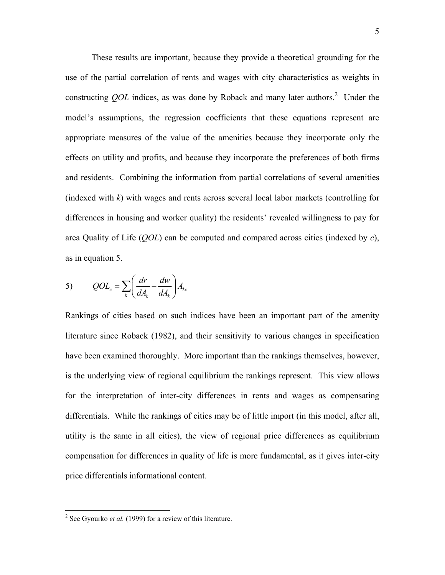These results are important, because they provide a theoretical grounding for the use of the partial correlation of rents and wages with city characteristics as weights in constructing *QOL* indices, as was done by Roback and many later authors.<sup>[2](#page-5-0)</sup> Under the model's assumptions, the regression coefficients that these equations represent are appropriate measures of the value of the amenities because they incorporate only the effects on utility and profits, and because they incorporate the preferences of both firms and residents. Combining the information from partial correlations of several amenities (indexed with *k*) with wages and rents across several local labor markets (controlling for differences in housing and worker quality) the residents' revealed willingness to pay for area Quality of Life (*QOL*) can be computed and compared across cities (indexed by *c*), as in equation 5.

$$
5) \qquad QOL_c = \sum_{k} \left( \frac{dr}{dA_k} - \frac{dw}{dA_k} \right) A_{kc}
$$

Rankings of cities based on such indices have been an important part of the amenity literature since Roback (1982), and their sensitivity to various changes in specification have been examined thoroughly. More important than the rankings themselves, however, is the underlying view of regional equilibrium the rankings represent. This view allows for the interpretation of inter-city differences in rents and wages as compensating differentials. While the rankings of cities may be of little import (in this model, after all, utility is the same in all cities), the view of regional price differences as equilibrium compensation for differences in quality of life is more fundamental, as it gives inter-city price differentials informational content.

 $\overline{a}$ 

<span id="page-5-0"></span><sup>&</sup>lt;sup>2</sup> See Gyourko *et al.* (1999) for a review of this literature.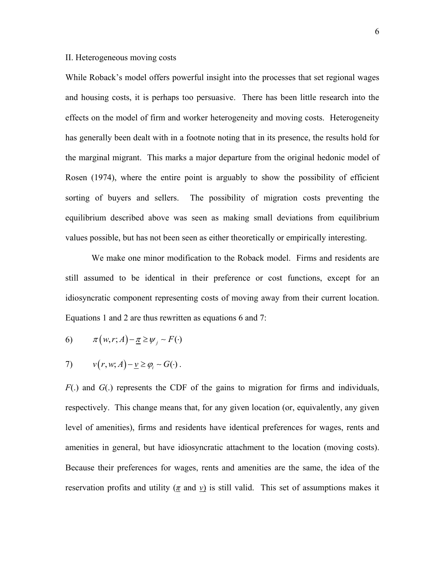## II. Heterogeneous moving costs

While Roback's model offers powerful insight into the processes that set regional wages and housing costs, it is perhaps too persuasive. There has been little research into the effects on the model of firm and worker heterogeneity and moving costs. Heterogeneity has generally been dealt with in a footnote noting that in its presence, the results hold for the marginal migrant. This marks a major departure from the original hedonic model of Rosen (1974), where the entire point is arguably to show the possibility of efficient sorting of buyers and sellers. The possibility of migration costs preventing the equilibrium described above was seen as making small deviations from equilibrium values possible, but has not been seen as either theoretically or empirically interesting.

We make one minor modification to the Roback model. Firms and residents are still assumed to be identical in their preference or cost functions, except for an idiosyncratic component representing costs of moving away from their current location. Equations 1 and 2 are thus rewritten as equations 6 and 7:

$$
6) \qquad \pi(w,r;A)-\underline{\pi}\geq\psi_j\sim F(\cdot)
$$

7) 
$$
v(r, w; A) - \underline{v} \ge \varphi_i \sim G(\cdot)
$$
.

*F*(.) and *G*(.) represents the CDF of the gains to migration for firms and individuals, respectively. This change means that, for any given location (or, equivalently, any given level of amenities), firms and residents have identical preferences for wages, rents and amenities in general, but have idiosyncratic attachment to the location (moving costs). Because their preferences for wages, rents and amenities are the same, the idea of the reservation profits and utility  $(\pi$  and  $\nu)$  is still valid. This set of assumptions makes it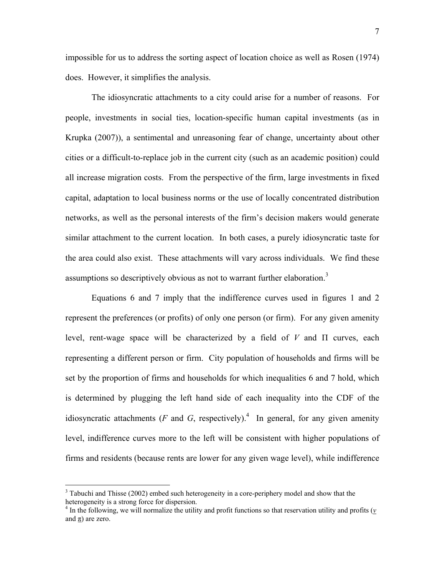impossible for us to address the sorting aspect of location choice as well as Rosen (1974) does. However, it simplifies the analysis.

The idiosyncratic attachments to a city could arise for a number of reasons. For people, investments in social ties, location-specific human capital investments (as in Krupka (2007)), a sentimental and unreasoning fear of change, uncertainty about other cities or a difficult-to-replace job in the current city (such as an academic position) could all increase migration costs. From the perspective of the firm, large investments in fixed capital, adaptation to local business norms or the use of locally concentrated distribution networks, as well as the personal interests of the firm's decision makers would generate similar attachment to the current location. In both cases, a purely idiosyncratic taste for the area could also exist. These attachments will vary across individuals. We find these assumptions so descriptively obvious as not to warrant further elaboration.<sup>[3](#page-7-0)</sup>

Equations 6 and 7 imply that the indifference curves used in figures 1 and 2 represent the preferences (or profits) of only one person (or firm). For any given amenity level, rent-wage space will be characterized by a field of *V* and Π curves, each representing a different person or firm. City population of households and firms will be set by the proportion of firms and households for which inequalities 6 and 7 hold, which is determined by plugging the left hand side of each inequality into the CDF of the idiosyncratic attachments ( $F$  and  $G$ , respectively).<sup>[4](#page-7-1)</sup> In general, for any given amenity level, indifference curves more to the left will be consistent with higher populations of firms and residents (because rents are lower for any given wage level), while indifference

 $\overline{a}$ 

<span id="page-7-0"></span> $3$  Tabuchi and Thisse (2002) embed such heterogeneity in a core-periphery model and show that the heterogeneity is a strong force for dispersion.

<span id="page-7-1"></span> $^4$  In the following, we will normalize the utility and profit functions so that reservation utility and profits ( $\gamma$ and  $\pi$ ) are zero.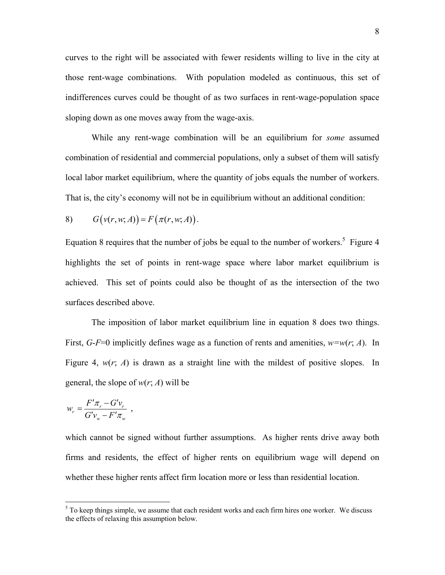curves to the right will be associated with fewer residents willing to live in the city at those rent-wage combinations. With population modeled as continuous, this set of indifferences curves could be thought of as two surfaces in rent-wage-population space sloping down as one moves away from the wage-axis.

While any rent-wage combination will be an equilibrium for *some* assumed combination of residential and commercial populations, only a subset of them will satisfy local labor market equilibrium, where the quantity of jobs equals the number of workers. That is, the city's economy will not be in equilibrium without an additional condition:

$$
8) \qquad G(v(r, w; A)) = F(\pi(r, w; A)).
$$

Equation 8 requires that the number of jobs be equal to the number of workers.<sup>5</sup> Figure 4 highlights the set of points in rent-wage space where labor market equilibrium is achieved. This set of points could also be thought of as the intersection of the two surfaces described above.

The imposition of labor market equilibrium line in equation 8 does two things. First, *G-F*=0 implicitly defines wage as a function of rents and amenities,  $w=w(r; A)$ . In Figure 4,  $w(r; A)$  is drawn as a straight line with the mildest of positive slopes. In general, the slope of  $w(r; A)$  will be

$$
w_r = \frac{F'\pi_r - G'v_r}{G'v_w - F'\pi_w} \ ,
$$

 $\overline{a}$ 

which cannot be signed without further assumptions. As higher rents drive away both firms and residents, the effect of higher rents on equilibrium wage will depend on whether these higher rents affect firm location more or less than residential location.

<span id="page-8-0"></span><sup>&</sup>lt;sup>5</sup> To keep things simple, we assume that each resident works and each firm hires one worker. We discuss the effects of relaxing this assumption below.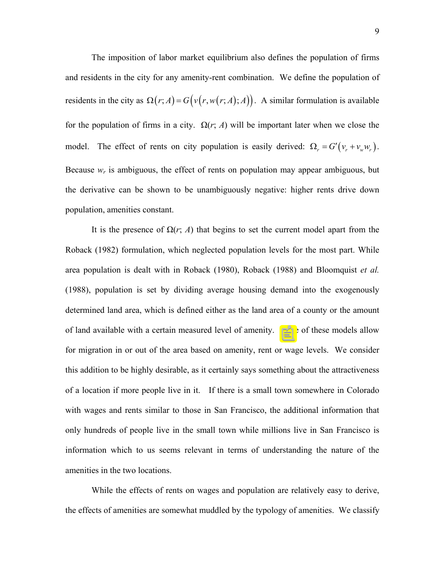The imposition of labor market equilibrium also defines the population of firms and residents in the city for any amenity-rent combination. We define the population of residents in the city as  $\Omega(r; A) = G(v(r, w(r; A); A))$ . A similar formulation is available *r* model. The effect of rents on city population is easily derived:  $\Omega_r = G'(v_r + v_w w_r)$ . for the population of firms in a city.  $\Omega(r; A)$  will be important later when we close the Because  $w_r$  is ambiguous, the effect of rents on population may appear ambiguous, but the derivative can be shown to be unambiguously negative: higher rents drive down population, amenities constant.

It is the presence of  $\Omega(r; A)$  that begins to set the current model apart from the Roback (1982) formulation, which neglected population levels for the most part. While area population is dealt with in Roback (1980), Roback (1988) and Bloomquist *et al.* (1988), population is set by dividing average housing demand into the exogenously determined land area, which is defined either as the land area of a county or the amount of land available with a certain measured level of amenity. None of these models allow for migration in or out of the area based on amenity, rent or wage levels. We consider this addition to be highly desirable, as it certainly says something about the attractiveness of a location if more people live in it. If there is a small town somewhere in Colorado with wages and rents similar to those in San Francisco, the additional information that only hundreds of people live in the small town while millions live in San Francisco is information which to us seems relevant in terms of understanding the nature of the amenities in the two locations.

While the effects of rents on wages and population are relatively easy to derive, the effects of amenities are somewhat muddled by the typology of amenities. We classify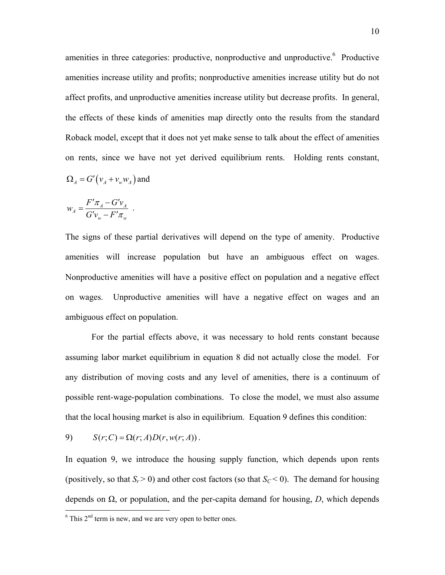amenities in three categories: productive, nonproductive and unproductive. Productive amenities increase utility and profits; nonproductive amenities increase utility but do not affect profits, and unproductive amenities increase utility but decrease profits. In general, the effects of these kinds of amenities map directly onto the results from the standard Roback model, except that it does not yet make sense to talk about the effect of amenities on rents, since we have not yet derived equilibrium rents. Holding rents constant,  $\Omega_A = G'(\nu_A + \nu_w \nu_A)$  and

$$
w_{A} = \frac{F'\pi_{A} - G'v_{A}}{G'v_{w} - F'\pi_{w}}.
$$

The signs of these partial derivatives will depend on the type of amenity. Productive amenities will increase population but have an ambiguous effect on wages. Nonproductive amenities will have a positive effect on population and a negative effect on wages. Unproductive amenities will have a negative effect on wages and an ambiguous effect on population.

For the partial effects above, it was necessary to hold rents constant because assuming labor market equilibrium in equation 8 did not actually close the model. For any distribution of moving costs and any level of amenities, there is a continuum of possible rent-wage-population combinations. To close the model, we must also assume that the local housing market is also in equilibrium. Equation 9 defines this condition:

9) 
$$
S(r;C) = \Omega(r;A)D(r,w(r;A)).
$$

In equation 9, we introduce the housing supply function, which depends upon rents (positively, so that  $S_r > 0$ ) and other cost factors (so that  $S_c < 0$ ). The demand for housing depends on Ω, or population, and the per-capita demand for housing, *D*, which depends

<span id="page-10-0"></span> $\frac{6}{6}$  This  $2<sup>nd</sup>$  term is new, and we are very open to better ones.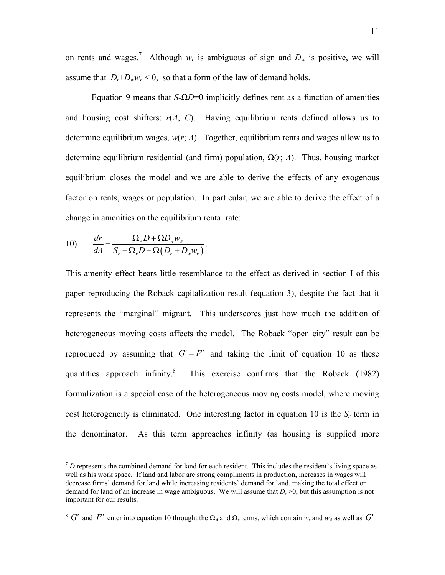on rents and wages.<sup>7</sup> Although  $w_r$  is ambiguous of sign and  $D_w$  is positive, we will assume that  $D_r + D_w w_r < 0$ , so that a form of the law of demand holds.

Equation 9 means that *S*- $ΩD=0$  implicitly defines rent as a function of amenities and housing cost shifters:  $r(A, C)$ . Having equilibrium rents defined allows us to determine equilibrium wages, *w*(*r*; *A*). Together, equilibrium rents and wages allow us to determine equilibrium residential (and firm) population, Ω(*r*; *A*). Thus, housing market equilibrium closes the model and we are able to derive the effects of any exogenous factor on rents, wages or population. In particular, we are able to derive the effect of a change in amenities on the equilibrium rental rate:

10) 
$$
\frac{dr}{dA} = \frac{\Omega_A D + \Omega D_w w_A}{S_r - \Omega_r D - \Omega (D_r + D_w w_r)}.
$$

<u>.</u>

This amenity effect bears little resemblance to the effect as derived in section I of this paper reproducing the Roback capitalization result (equation 3), despite the fact that it represents the "marginal" migrant. This underscores just how much the addition of heterogeneous moving costs affects the model. The Roback "open city" result can be reproduced by assuming that  $G' = F'$  and taking the limit of equation 10 as these quantities approach infinity.<sup>[8](#page-11-1)</sup> This exercise confirms that the Roback (1982) formulization is a special case of the heterogeneous moving costs model, where moving cost heterogeneity is eliminated. One interesting factor in equation 10 is the  $S_r$  term in the denominator. As this term approaches infinity (as housing is supplied more

<span id="page-11-0"></span><sup>&</sup>lt;sup>7</sup> *D* represents the combined demand for land for each resident. This includes the resident's living space as well as his work space. If land and labor are strong compliments in production, increases in wages will decrease firms' demand for land while increasing residents' demand for land, making the total effect on demand for land of an increase in wage ambiguous. We will assume that  $D_w$  $\geq 0$ , but this assumption is not important for our results.

<span id="page-11-1"></span><sup>&</sup>lt;sup>8</sup> G' and F' enter into equation 10 throught the  $\Omega_A$  and  $\Omega_r$  terms, which contain  $w_r$  and  $w_A$  as well as G'.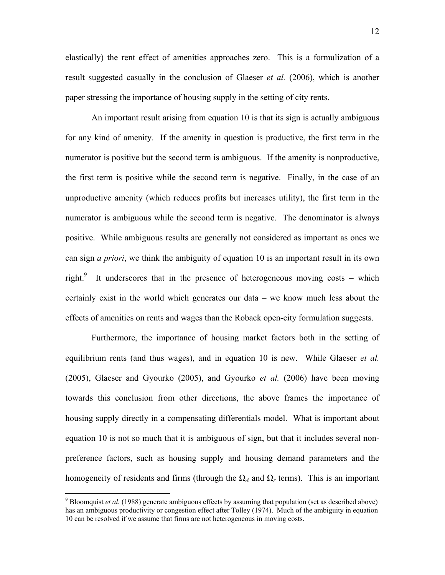elastically) the rent effect of amenities approaches zero. This is a formulization of a result suggested casually in the conclusion of Glaeser *et al.* (2006), which is another paper stressing the importance of housing supply in the setting of city rents.

An important result arising from equation 10 is that its sign is actually ambiguous for any kind of amenity. If the amenity in question is productive, the first term in the numerator is positive but the second term is ambiguous. If the amenity is nonproductive, the first term is positive while the second term is negative. Finally, in the case of an unproductive amenity (which reduces profits but increases utility), the first term in the numerator is ambiguous while the second term is negative. The denominator is always positive. While ambiguous results are generally not considered as important as ones we can sign *a priori*, we think the ambiguity of equation 10 is an important result in its own right.<sup>[9](#page-12-0)</sup> It underscores that in the presence of heterogeneous moving costs – which certainly exist in the world which generates our data – we know much less about the effects of amenities on rents and wages than the Roback open-city formulation suggests.

Furthermore, the importance of housing market factors both in the setting of equilibrium rents (and thus wages), and in equation 10 is new. While Glaeser *et al.* (2005), Glaeser and Gyourko (2005), and Gyourko *et al.* (2006) have been moving towards this conclusion from other directions, the above frames the importance of housing supply directly in a compensating differentials model. What is important about equation 10 is not so much that it is ambiguous of sign, but that it includes several nonpreference factors, such as housing supply and housing demand parameters and the homogeneity of residents and firms (through the  $\Omega_A$  and  $\Omega_r$  terms). This is an important

 $\overline{a}$ 

<span id="page-12-0"></span><sup>&</sup>lt;sup>9</sup> Bloomquist *et al.* (1988) generate ambiguous effects by assuming that population (set as described above) has an ambiguous productivity or congestion effect after Tolley (1974). Much of the ambiguity in equation 10 can be resolved if we assume that firms are not heterogeneous in moving costs.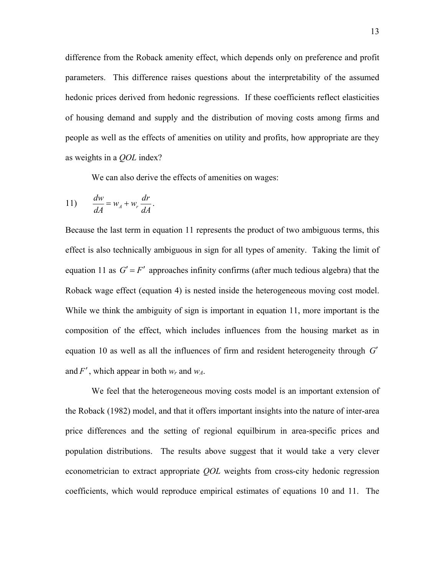difference from the Roback amenity effect, which depends only on preference and profit parameters. This difference raises questions about the interpretability of the assumed hedonic prices derived from hedonic regressions. If these coefficients reflect elasticities of housing demand and supply and the distribution of moving costs among firms and people as well as the effects of amenities on utility and profits, how appropriate are they as weights in a *QOL* index?

We can also derive the effects of amenities on wages:

11) 
$$
\frac{dw}{dA} = w_A + w_r \frac{dr}{dA}.
$$

Because the last term in equation 11 represents the product of two ambiguous terms, this effect is also technically ambiguous in sign for all types of amenity. Taking the limit of equation 11 as  $G' = F'$  approaches infinity confirms (after much tedious algebra) that the Roback wage effect (equation 4) is nested inside the heterogeneous moving cost model. While we think the ambiguity of sign is important in equation 11, more important is the composition of the effect, which includes influences from the housing market as in equation 10 as well as all the influences of firm and resident heterogeneity through *G* ′ and  $F'$ , which appear in both  $w_r$  and  $w_4$ .

We feel that the heterogeneous moving costs model is an important extension of the Roback (1982) model, and that it offers important insights into the nature of inter-area price differences and the setting of regional equilbirum in area-specific prices and population distributions. The results above suggest that it would take a very clever econometrician to extract appropriate *QOL* weights from cross-city hedonic regression coefficients, which would reproduce empirical estimates of equations 10 and 11. The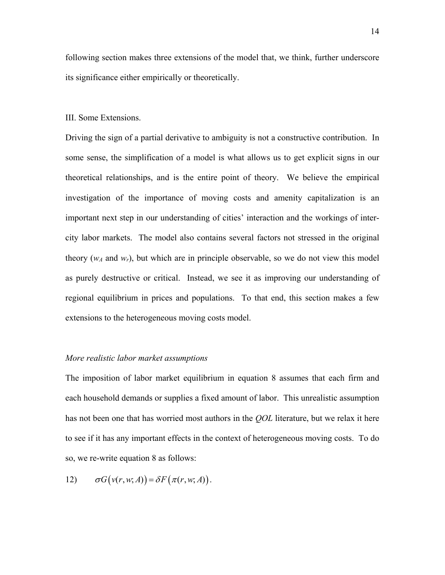following section makes three extensions of the model that, we think, further underscore its significance either empirically or theoretically.

#### III. Some Extensions.

Driving the sign of a partial derivative to ambiguity is not a constructive contribution. In some sense, the simplification of a model is what allows us to get explicit signs in our theoretical relationships, and is the entire point of theory. We believe the empirical investigation of the importance of moving costs and amenity capitalization is an important next step in our understanding of cities' interaction and the workings of intercity labor markets. The model also contains several factors not stressed in the original theory  $(w_A \text{ and } w_B)$ , but which are in principle observable, so we do not view this model as purely destructive or critical. Instead, we see it as improving our understanding of regional equilibrium in prices and populations. To that end, this section makes a few extensions to the heterogeneous moving costs model.

## *More realistic labor market assumptions*

The imposition of labor market equilibrium in equation 8 assumes that each firm and each household demands or supplies a fixed amount of labor. This unrealistic assumption has not been one that has worried most authors in the *QOL* literature, but we relax it here to see if it has any important effects in the context of heterogeneous moving costs. To do so, we re-write equation 8 as follows:

12) 
$$
\sigma G(v(r, w, A)) = \delta F(\pi(r, w, A)).
$$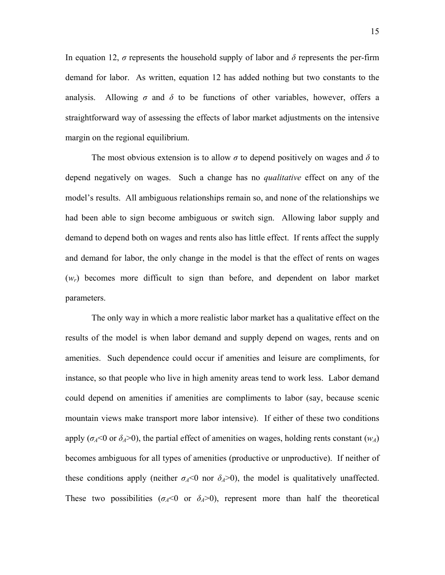In equation 12,  $\sigma$  represents the household supply of labor and  $\delta$  represents the per-firm demand for labor. As written, equation 12 has added nothing but two constants to the analysis. Allowing  $\sigma$  and  $\delta$  to be functions of other variables, however, offers a straightforward way of assessing the effects of labor market adjustments on the intensive margin on the regional equilibrium.

The most obvious extension is to allow  $\sigma$  to depend positively on wages and  $\delta$  to depend negatively on wages. Such a change has no *qualitative* effect on any of the model's results. All ambiguous relationships remain so, and none of the relationships we had been able to sign become ambiguous or switch sign. Allowing labor supply and demand to depend both on wages and rents also has little effect. If rents affect the supply and demand for labor, the only change in the model is that the effect of rents on wages (*wr*) becomes more difficult to sign than before, and dependent on labor market parameters.

 The only way in which a more realistic labor market has a qualitative effect on the results of the model is when labor demand and supply depend on wages, rents and on amenities. Such dependence could occur if amenities and leisure are compliments, for instance, so that people who live in high amenity areas tend to work less. Labor demand could depend on amenities if amenities are compliments to labor (say, because scenic mountain views make transport more labor intensive). If either of these two conditions apply ( $\sigma_4$ <0 or  $\delta_4$ >0), the partial effect of amenities on wages, holding rents constant ( $w_4$ ) becomes ambiguous for all types of amenities (productive or unproductive). If neither of these conditions apply (neither  $\sigma_A < 0$  nor  $\delta_A > 0$ ), the model is qualitatively unaffected. These two possibilities ( $\sigma_A < 0$  or  $\delta_A > 0$ ), represent more than half the theoretical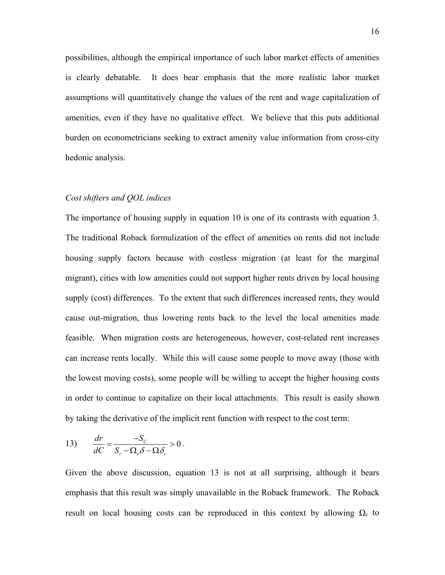possibilities, although the empirical importance of such labor market effects of amenities is clearly debatable. It does bear emphasis that the more realistic labor market assumptions will quantitatively change the values of the rent and wage capitalization of amenities, even if they have no qualitative effect. We believe that this puts additional burden on econometricians seeking to extract amenity value information from cross-city hedonic analysis.

#### *Cost shifters and QOL indices*

The importance of housing supply in equation 10 is one of its contrasts with equation 3. The traditional Roback formulization of the effect of amenities on rents did not include housing supply factors because with costless migration (at least for the marginal migrant), cities with low amenities could not support higher rents driven by local housing supply (cost) differences. To the extent that such differences increased rents, they would cause out-migration, thus lowering rents back to the level the local amenities made feasible. When migration costs are heterogeneous, however, cost-related rent increases can increase rents locally. While this will cause some people to move away (those with the lowest moving costs), some people will be willing to accept the higher housing costs in order to continue to capitalize on their local attachments. This result is easily shown by taking the derivative of the implicit rent function with respect to the cost term:

13) 
$$
\frac{dr}{dC} = \frac{-S_C}{S_r - \Omega_r \delta - \Omega \delta_r} > 0.
$$

Given the above discussion, equation 13 is not at all surprising, although it bears emphasis that this result was simply unavailable in the Roback framework. The Roback result on local housing costs can be reproduced in this context by allowing  $\Omega_r$  to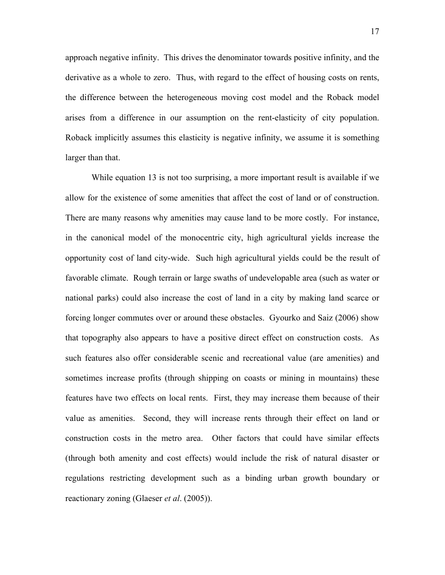approach negative infinity. This drives the denominator towards positive infinity, and the derivative as a whole to zero. Thus, with regard to the effect of housing costs on rents, the difference between the heterogeneous moving cost model and the Roback model arises from a difference in our assumption on the rent-elasticity of city population. Roback implicitly assumes this elasticity is negative infinity, we assume it is something larger than that.

 While equation 13 is not too surprising, a more important result is available if we allow for the existence of some amenities that affect the cost of land or of construction. There are many reasons why amenities may cause land to be more costly. For instance, in the canonical model of the monocentric city, high agricultural yields increase the opportunity cost of land city-wide. Such high agricultural yields could be the result of favorable climate. Rough terrain or large swaths of undevelopable area (such as water or national parks) could also increase the cost of land in a city by making land scarce or forcing longer commutes over or around these obstacles. Gyourko and Saiz (2006) show that topography also appears to have a positive direct effect on construction costs. As such features also offer considerable scenic and recreational value (are amenities) and sometimes increase profits (through shipping on coasts or mining in mountains) these features have two effects on local rents. First, they may increase them because of their value as amenities. Second, they will increase rents through their effect on land or construction costs in the metro area. Other factors that could have similar effects (through both amenity and cost effects) would include the risk of natural disaster or regulations restricting development such as a binding urban growth boundary or reactionary zoning (Glaeser *et al*. (2005)).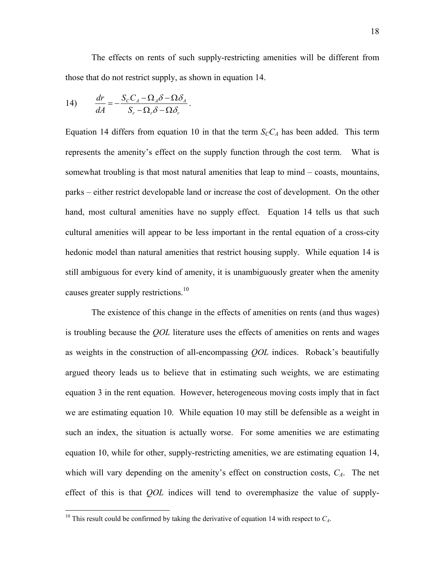The effects on rents of such supply-restricting amenities will be different from those that do not restrict supply, as shown in equation 14.

14) 
$$
\frac{dr}{dA} = -\frac{S_C C_A - \Omega_A \delta - \Omega \delta_A}{S_r - \Omega_r \delta - \Omega \delta_r}.
$$

Equation 14 differs from equation 10 in that the term  $S_C C_A$  has been added. This term represents the amenity's effect on the supply function through the cost term. What is somewhat troubling is that most natural amenities that leap to mind – coasts, mountains, parks – either restrict developable land or increase the cost of development. On the other hand, most cultural amenities have no supply effect. Equation 14 tells us that such cultural amenities will appear to be less important in the rental equation of a cross-city hedonic model than natural amenities that restrict housing supply. While equation 14 is still ambiguous for every kind of amenity, it is unambiguously greater when the amenity causes greater supply restrictions.<sup>10</sup>

The existence of this change in the effects of amenities on rents (and thus wages) is troubling because the *QOL* literature uses the effects of amenities on rents and wages as weights in the construction of all-encompassing *QOL* indices. Roback's beautifully argued theory leads us to believe that in estimating such weights, we are estimating equation 3 in the rent equation. However, heterogeneous moving costs imply that in fact we are estimating equation 10. While equation 10 may still be defensible as a weight in such an index, the situation is actually worse. For some amenities we are estimating equation 10, while for other, supply-restricting amenities, we are estimating equation 14, which will vary depending on the amenity's effect on construction costs, *CA*. The net effect of this is that *QOL* indices will tend to overemphasize the value of supply-

<u>.</u>

<span id="page-18-0"></span><sup>&</sup>lt;sup>10</sup> This result could be confirmed by taking the derivative of equation 14 with respect to  $C_A$ .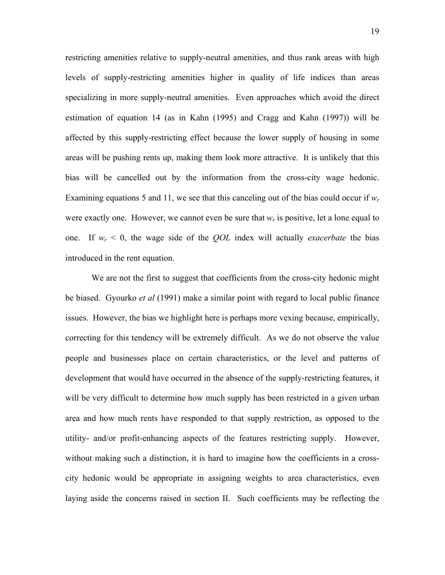restricting amenities relative to supply-neutral amenities, and thus rank areas with high levels of supply-restricting amenities higher in quality of life indices than areas specializing in more supply-neutral amenities. Even approaches which avoid the direct estimation of equation 14 (as in Kahn (1995) and Cragg and Kahn (1997)) will be affected by this supply-restricting effect because the lower supply of housing in some areas will be pushing rents up, making them look more attractive. It is unlikely that this bias will be cancelled out by the information from the cross-city wage hedonic. Examining equations 5 and 11, we see that this canceling out of the bias could occur if *wr* were exactly one. However, we cannot even be sure that  $w_r$  is positive, let a lone equal to one. If  $w_r < 0$ , the wage side of the *OOL* index will actually *exacerbate* the bias introduced in the rent equation.

 We are not the first to suggest that coefficients from the cross-city hedonic might be biased. Gyourko *et al* (1991) make a similar point with regard to local public finance issues. However, the bias we highlight here is perhaps more vexing because, empirically, correcting for this tendency will be extremely difficult. As we do not observe the value people and businesses place on certain characteristics, or the level and patterns of development that would have occurred in the absence of the supply-restricting features, it will be very difficult to determine how much supply has been restricted in a given urban area and how much rents have responded to that supply restriction, as opposed to the utility- and/or profit-enhancing aspects of the features restricting supply. However, without making such a distinction, it is hard to imagine how the coefficients in a crosscity hedonic would be appropriate in assigning weights to area characteristics, even laying aside the concerns raised in section II. Such coefficients may be reflecting the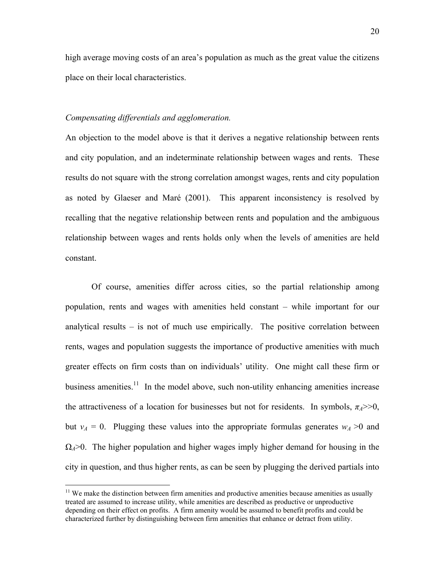high average moving costs of an area's population as much as the great value the citizens place on their local characteristics.

## *Compensating differentials and agglomeration.*

<u>.</u>

An objection to the model above is that it derives a negative relationship between rents and city population, and an indeterminate relationship between wages and rents. These results do not square with the strong correlation amongst wages, rents and city population as noted by Glaeser and Maré (2001). This apparent inconsistency is resolved by recalling that the negative relationship between rents and population and the ambiguous relationship between wages and rents holds only when the levels of amenities are held constant.

 Of course, amenities differ across cities, so the partial relationship among population, rents and wages with amenities held constant – while important for our analytical results – is not of much use empirically. The positive correlation between rents, wages and population suggests the importance of productive amenities with much greater effects on firm costs than on individuals' utility. One might call these firm or businessamenities.<sup>11</sup> In the model above, such non-utility enhancing amenities increase the attractiveness of a location for businesses but not for residents. In symbols,  $\pi_A \geq 0$ , but  $v_A = 0$ . Plugging these values into the appropriate formulas generates  $w_A > 0$  and  $\Omega_A$ >0. The higher population and higher wages imply higher demand for housing in the city in question, and thus higher rents, as can be seen by plugging the derived partials into

<span id="page-20-0"></span> $11$  We make the distinction between firm amenities and productive amenities because amenities as usually treated are assumed to increase utility, while amenities are described as productive or unproductive depending on their effect on profits. A firm amenity would be assumed to benefit profits and could be characterized further by distinguishing between firm amenities that enhance or detract from utility.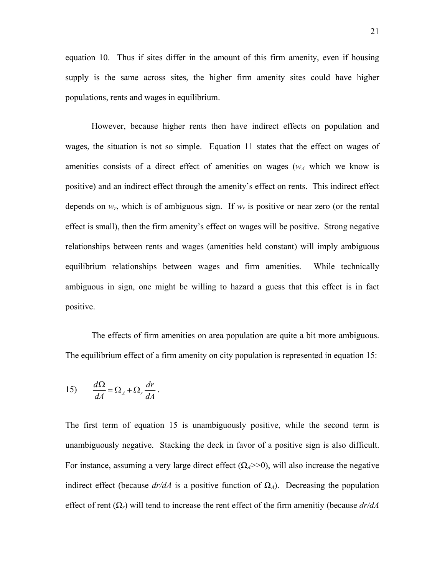equation 10. Thus if sites differ in the amount of this firm amenity, even if housing supply is the same across sites, the higher firm amenity sites could have higher populations, rents and wages in equilibrium.

However, because higher rents then have indirect effects on population and wages, the situation is not so simple. Equation 11 states that the effect on wages of amenities consists of a direct effect of amenities on wages  $(w<sub>A</sub>$  which we know is positive) and an indirect effect through the amenity's effect on rents. This indirect effect depends on  $w_r$ , which is of ambiguous sign. If  $w_r$  is positive or near zero (or the rental effect is small), then the firm amenity's effect on wages will be positive. Strong negative relationships between rents and wages (amenities held constant) will imply ambiguous equilibrium relationships between wages and firm amenities. While technically ambiguous in sign, one might be willing to hazard a guess that this effect is in fact positive.

The effects of firm amenities on area population are quite a bit more ambiguous. The equilibrium effect of a firm amenity on city population is represented in equation 15:

15) 
$$
\frac{d\Omega}{dA} = \Omega_A + \Omega_r \frac{dr}{dA}.
$$

The first term of equation 15 is unambiguously positive, while the second term is unambiguously negative. Stacking the deck in favor of a positive sign is also difficult. For instance, assuming a very large direct effect  $(\Omega_A \geq 0)$ , will also increase the negative indirect effect (because  $dr/dA$  is a positive function of  $\Omega_A$ ). Decreasing the population effect of rent (Ω*r*) will tend to increase the rent effect of the firm amenitiy (because *dr/dA*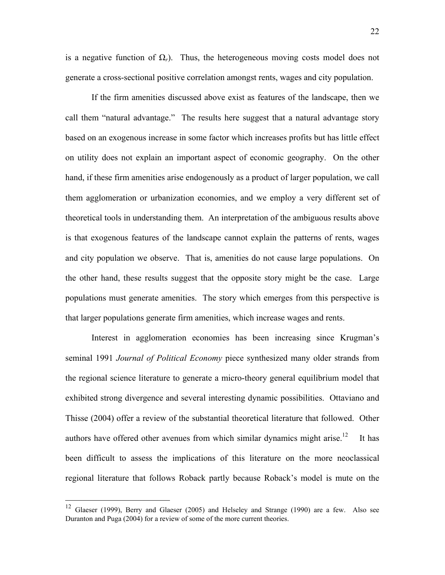22

is a negative function of  $\Omega_r$ ). Thus, the heterogeneous moving costs model does not generate a cross-sectional positive correlation amongst rents, wages and city population.

 If the firm amenities discussed above exist as features of the landscape, then we call them "natural advantage." The results here suggest that a natural advantage story based on an exogenous increase in some factor which increases profits but has little effect on utility does not explain an important aspect of economic geography. On the other hand, if these firm amenities arise endogenously as a product of larger population, we call them agglomeration or urbanization economies, and we employ a very different set of theoretical tools in understanding them. An interpretation of the ambiguous results above is that exogenous features of the landscape cannot explain the patterns of rents, wages and city population we observe. That is, amenities do not cause large populations. On the other hand, these results suggest that the opposite story might be the case. Large populations must generate amenities. The story which emerges from this perspective is that larger populations generate firm amenities, which increase wages and rents.

 Interest in agglomeration economies has been increasing since Krugman's seminal 1991 *Journal of Political Economy* piece synthesized many older strands from the regional science literature to generate a micro-theory general equilibrium model that exhibited strong divergence and several interesting dynamic possibilities. Ottaviano and Thisse (2004) offer a review of the substantial theoretical literature that followed. Other authors have offered other avenues from which similar dynamics might arise.<sup>12</sup> It has been difficult to assess the implications of this literature on the more neoclassical regional literature that follows Roback partly because Roback's model is mute on the

1

<span id="page-22-0"></span><sup>&</sup>lt;sup>12</sup> Glaeser (1999), Berry and Glaeser (2005) and Helseley and Strange (1990) are a few. Also see Duranton and Puga (2004) for a review of some of the more current theories.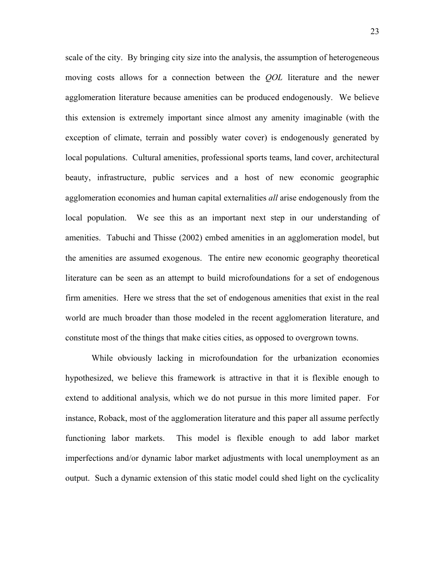scale of the city. By bringing city size into the analysis, the assumption of heterogeneous moving costs allows for a connection between the *QOL* literature and the newer agglomeration literature because amenities can be produced endogenously. We believe this extension is extremely important since almost any amenity imaginable (with the exception of climate, terrain and possibly water cover) is endogenously generated by local populations. Cultural amenities, professional sports teams, land cover, architectural beauty, infrastructure, public services and a host of new economic geographic agglomeration economies and human capital externalities *all* arise endogenously from the local population. We see this as an important next step in our understanding of amenities. Tabuchi and Thisse (2002) embed amenities in an agglomeration model, but the amenities are assumed exogenous. The entire new economic geography theoretical literature can be seen as an attempt to build microfoundations for a set of endogenous firm amenities. Here we stress that the set of endogenous amenities that exist in the real world are much broader than those modeled in the recent agglomeration literature, and constitute most of the things that make cities cities, as opposed to overgrown towns.

 While obviously lacking in microfoundation for the urbanization economies hypothesized, we believe this framework is attractive in that it is flexible enough to extend to additional analysis, which we do not pursue in this more limited paper. For instance, Roback, most of the agglomeration literature and this paper all assume perfectly functioning labor markets. This model is flexible enough to add labor market imperfections and/or dynamic labor market adjustments with local unemployment as an output. Such a dynamic extension of this static model could shed light on the cyclicality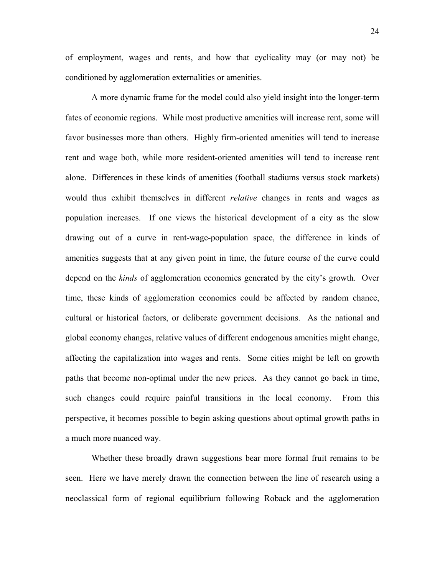of employment, wages and rents, and how that cyclicality may (or may not) be conditioned by agglomeration externalities or amenities.

A more dynamic frame for the model could also yield insight into the longer-term fates of economic regions. While most productive amenities will increase rent, some will favor businesses more than others. Highly firm-oriented amenities will tend to increase rent and wage both, while more resident-oriented amenities will tend to increase rent alone. Differences in these kinds of amenities (football stadiums versus stock markets) would thus exhibit themselves in different *relative* changes in rents and wages as population increases. If one views the historical development of a city as the slow drawing out of a curve in rent-wage-population space, the difference in kinds of amenities suggests that at any given point in time, the future course of the curve could depend on the *kinds* of agglomeration economies generated by the city's growth. Over time, these kinds of agglomeration economies could be affected by random chance, cultural or historical factors, or deliberate government decisions. As the national and global economy changes, relative values of different endogenous amenities might change, affecting the capitalization into wages and rents. Some cities might be left on growth paths that become non-optimal under the new prices. As they cannot go back in time, such changes could require painful transitions in the local economy. From this perspective, it becomes possible to begin asking questions about optimal growth paths in a much more nuanced way.

 Whether these broadly drawn suggestions bear more formal fruit remains to be seen. Here we have merely drawn the connection between the line of research using a neoclassical form of regional equilibrium following Roback and the agglomeration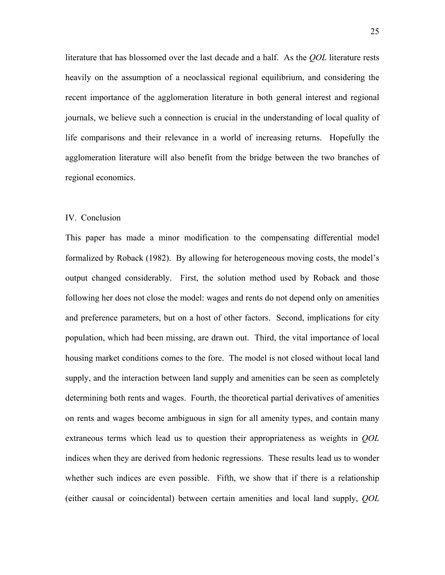literature that has blossomed over the last decade and a half. As the *QOL* literature rests heavily on the assumption of a neoclassical regional equilibrium, and considering the recent importance of the agglomeration literature in both general interest and regional journals, we believe such a connection is crucial in the understanding of local quality of life comparisons and their relevance in a world of increasing returns. Hopefully the agglomeration literature will also benefit from the bridge between the two branches of regional economics.

### IV. Conclusion

This paper has made a minor modification to the compensating differential model formalized by Roback (1982). By allowing for heterogeneous moving costs, the model's output changed considerably. First, the solution method used by Roback and those following her does not close the model: wages and rents do not depend only on amenities and preference parameters, but on a host of other factors. Second, implications for city population, which had been missing, are drawn out. Third, the vital importance of local housing market conditions comes to the fore. The model is not closed without local land supply, and the interaction between land supply and amenities can be seen as completely determining both rents and wages. Fourth, the theoretical partial derivatives of amenities on rents and wages become ambiguous in sign for all amenity types, and contain many extraneous terms which lead us to question their appropriateness as weights in *QOL* indices when they are derived from hedonic regressions. These results lead us to wonder whether such indices are even possible. Fifth, we show that if there is a relationship (either causal or coincidental) between certain amenities and local land supply, *QOL*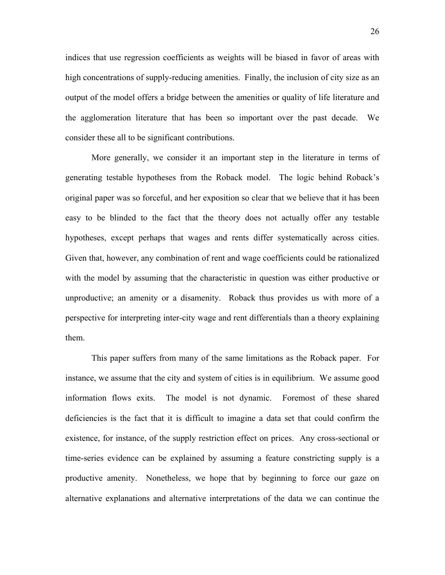indices that use regression coefficients as weights will be biased in favor of areas with high concentrations of supply-reducing amenities. Finally, the inclusion of city size as an output of the model offers a bridge between the amenities or quality of life literature and the agglomeration literature that has been so important over the past decade. We consider these all to be significant contributions.

 More generally, we consider it an important step in the literature in terms of generating testable hypotheses from the Roback model. The logic behind Roback's original paper was so forceful, and her exposition so clear that we believe that it has been easy to be blinded to the fact that the theory does not actually offer any testable hypotheses, except perhaps that wages and rents differ systematically across cities. Given that, however, any combination of rent and wage coefficients could be rationalized with the model by assuming that the characteristic in question was either productive or unproductive; an amenity or a disamenity. Roback thus provides us with more of a perspective for interpreting inter-city wage and rent differentials than a theory explaining them.

 This paper suffers from many of the same limitations as the Roback paper. For instance, we assume that the city and system of cities is in equilibrium. We assume good information flows exits. The model is not dynamic. Foremost of these shared deficiencies is the fact that it is difficult to imagine a data set that could confirm the existence, for instance, of the supply restriction effect on prices. Any cross-sectional or time-series evidence can be explained by assuming a feature constricting supply is a productive amenity. Nonetheless, we hope that by beginning to force our gaze on alternative explanations and alternative interpretations of the data we can continue the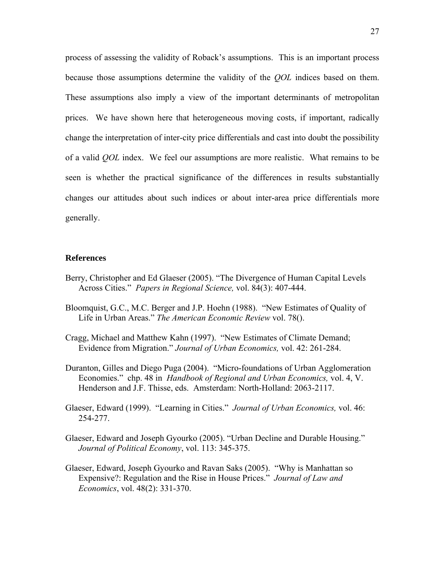process of assessing the validity of Roback's assumptions. This is an important process because those assumptions determine the validity of the *QOL* indices based on them. These assumptions also imply a view of the important determinants of metropolitan prices. We have shown here that heterogeneous moving costs, if important, radically change the interpretation of inter-city price differentials and cast into doubt the possibility of a valid *QOL* index. We feel our assumptions are more realistic. What remains to be seen is whether the practical significance of the differences in results substantially changes our attitudes about such indices or about inter-area price differentials more generally.

#### **References**

- Berry, Christopher and Ed Glaeser (2005). "The Divergence of Human Capital Levels Across Cities." *Papers in Regional Science,* vol. 84(3): 407-444.
- Bloomquist, G.C., M.C. Berger and J.P. Hoehn (1988). "New Estimates of Quality of Life in Urban Areas." *The American Economic Review* vol. 78().
- Cragg, Michael and Matthew Kahn (1997). "New Estimates of Climate Demand; Evidence from Migration." *Journal of Urban Economics,* vol. 42: 261-284.
- Duranton, Gilles and Diego Puga (2004). "Micro-foundations of Urban Agglomeration Economies." chp. 48 in *Handbook of Regional and Urban Economics,* vol. 4, V. Henderson and J.F. Thisse, eds. Amsterdam: North-Holland: 2063-2117.
- Glaeser, Edward (1999). "Learning in Cities." *Journal of Urban Economics,* vol. 46: 254-277.
- Glaeser, Edward and Joseph Gyourko (2005). "Urban Decline and Durable Housing." *Journal of Political Economy*, vol. 113: 345-375.
- Glaeser, Edward, Joseph Gyourko and Ravan Saks (2005). "Why is Manhattan so Expensive?: Regulation and the Rise in House Prices." *Journal of Law and Economics*, vol. 48(2): 331-370.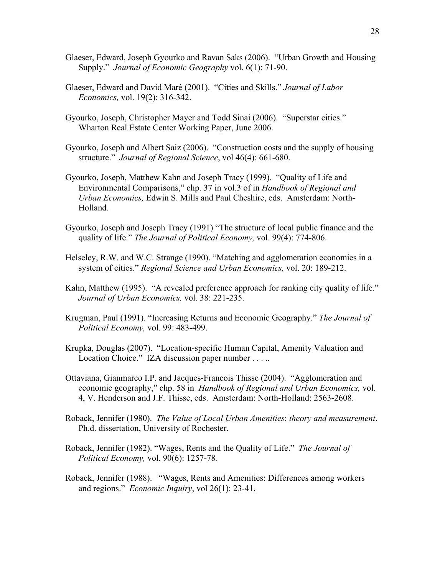- Glaeser, Edward, Joseph Gyourko and Ravan Saks (2006). "Urban Growth and Housing Supply." *Journal of Economic Geography* vol. 6(1): 71-90.
- Glaeser, Edward and David Maré (2001). "Cities and Skills." *Journal of Labor Economics,* vol. 19(2): 316-342.
- Gyourko, Joseph, Christopher Mayer and Todd Sinai (2006). "Superstar cities." Wharton Real Estate Center Working Paper, June 2006.
- Gyourko, Joseph and Albert Saiz (2006). "Construction costs and the supply of housing structure." *Journal of Regional Science*, vol 46(4): 661-680.
- Gyourko, Joseph, Matthew Kahn and Joseph Tracy (1999). "Quality of Life and Environmental Comparisons," chp. 37 in vol.3 of in *Handbook of Regional and Urban Economics,* Edwin S. Mills and Paul Cheshire, eds. Amsterdam: North-Holland.
- Gyourko, Joseph and Joseph Tracy (1991) "The structure of local public finance and the quality of life." *The Journal of Political Economy,* vol. 99(4): 774-806.
- Helseley, R.W. and W.C. Strange (1990). "Matching and agglomeration economies in a system of cities." *Regional Science and Urban Economics,* vol. 20: 189-212.
- Kahn, Matthew (1995). "A revealed preference approach for ranking city quality of life." *Journal of Urban Economics,* vol. 38: 221-235.
- Krugman, Paul (1991). "Increasing Returns and Economic Geography." *The Journal of Political Economy,* vol. 99: 483-499.
- Krupka, Douglas (2007). "Location-specific Human Capital, Amenity Valuation and Location Choice." IZA discussion paper number . . . . .
- Ottaviana, Gianmarco I.P. and Jacques-Francois Thisse (2004). "Agglomeration and economic geography," chp. 58 in *Handbook of Regional and Urban Economics,* vol. 4, V. Henderson and J.F. Thisse, eds. Amsterdam: North-Holland: 2563-2608.
- Roback, Jennifer (1980). *The Value of Local Urban Amenities*: *theory and measurement*. Ph.d. dissertation, University of Rochester.
- Roback, Jennifer (1982). "Wages, Rents and the Quality of Life." *The Journal of Political Economy,* vol. 90(6): 1257-78*.*
- Roback, Jennifer (1988). "Wages, Rents and Amenities: Differences among workers and regions." *Economic Inquiry*, vol 26(1): 23-41.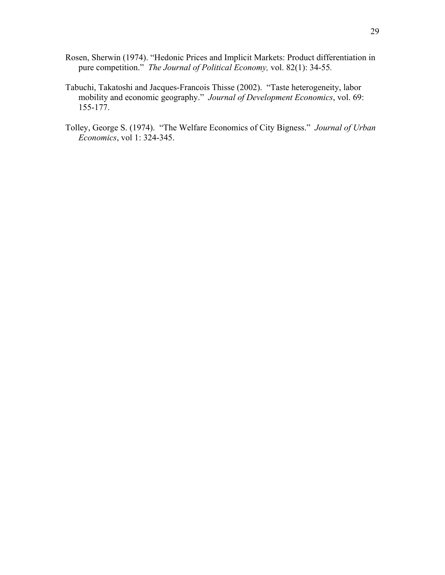- Rosen, Sherwin (1974). "Hedonic Prices and Implicit Markets: Product differentiation in pure competition." *The Journal of Political Economy,* vol. 82(1): 34-55*.*
- Tabuchi, Takatoshi and Jacques-Francois Thisse (2002). "Taste heterogeneity, labor mobility and economic geography." *Journal of Development Economics*, vol. 69: 155-177.
- Tolley, George S. (1974). "The Welfare Economics of City Bigness." *Journal of Urban Economics*, vol 1: 324-345.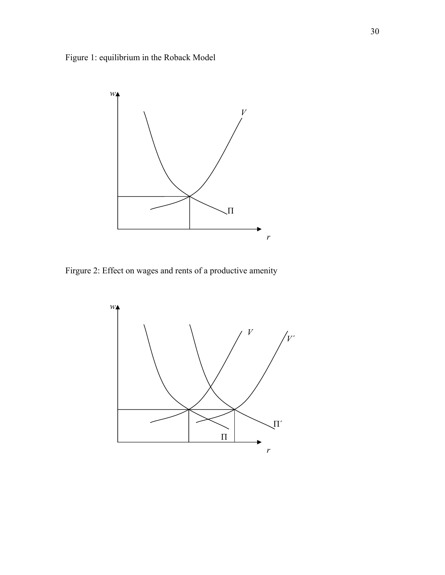Figure 1: equilibrium in the Roback Model



Firgure 2: Effect on wages and rents of a productive amenity